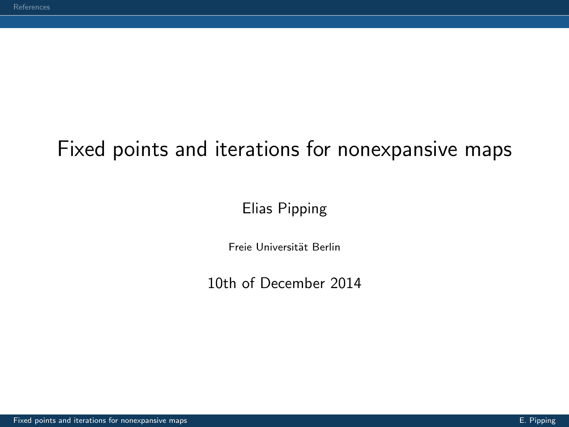## <span id="page-0-0"></span>Fixed points and iterations for nonexpansive maps

#### Elias Pipping

Freie Universität Berlin

10th of December 2014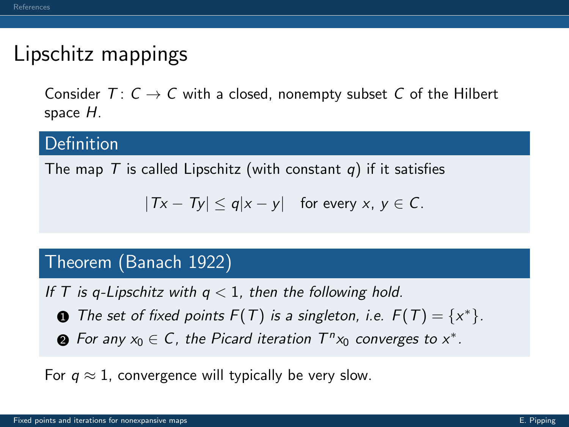### Lipschitz mappings

Consider  $T: C \rightarrow C$  with a closed, nonempty subset C of the Hilbert space H.

#### Definition

The map T is called Lipschitz (with constant q) if it satisfies

$$
|Tx - Ty| \leq q|x - y| \quad \text{for every } x, y \in C.
$$

#### Theorem (Banach [1922\)](#page-12-1)

If T is q-Lipschitz with  $q < 1$ , then the following hold.

- **1** The set of fixed points  $F(T)$  is a singleton, i.e.  $F(T) = \{x^*\}.$
- $\bullet$  For any  $x_0 \in C$ , the Picard iteration  $T^n x_0$  converges to  $x^*$ .

For  $q \approx 1$ , convergence will typically be very slow.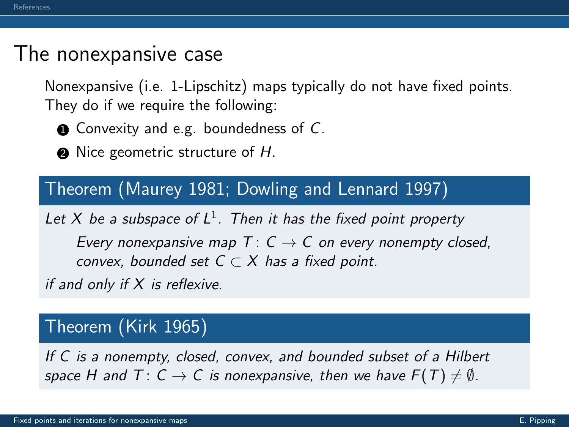### The nonexpansive case

Nonexpansive (i.e. 1-Lipschitz) maps typically do not have fixed points. They do if we require the following:

 $\bullet$  Convexity and e.g. boundedness of C.

 $\bullet$  Nice geometric structure of H.

#### Theorem (Maurey [1981;](#page-16-0) Dowling and Lennard [1997\)](#page-13-0)

Let X be a subspace of  $L^1$ . Then it has the fixed point property

Every nonexpansive map  $T: C \rightarrow C$  on every nonempty closed, convex, bounded set  $C \subset X$  has a fixed point.

if and only if  $X$  is reflexive.

#### Theorem (Kirk [1965\)](#page-15-0)

If C is a nonempty, closed, convex, and bounded subset of a Hilbert space H and  $T: C \to C$  is nonexpansive, then we have  $F(T) \neq \emptyset$ .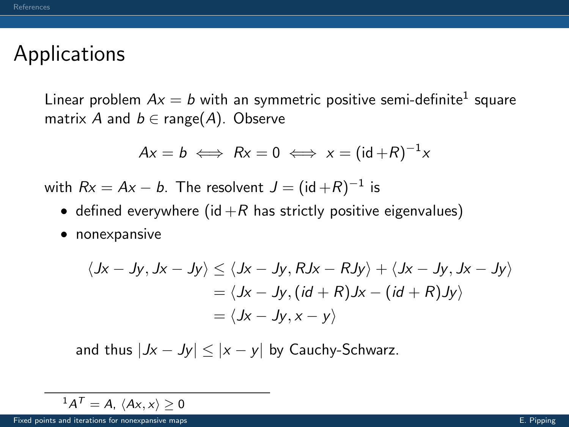### Applications

Linear problem  $Ax=b$  with an symmetric positive semi-definite $^1$  square matrix A and  $b \in \text{range}(A)$ . Observe

$$
Ax = b \iff Rx = 0 \iff x = (id + R)^{-1}x
$$

with  $R\mathrm{x}=A\mathrm{x}-b$ . The resolvent  $J=(\mathsf{id}+R)^{-1}$  is

- defined everywhere (id  $+R$  has strictly positive eigenvalues)
- nonexpansive

$$
\langle Jx - Jy, Jx - Jy \rangle \le \langle Jx - Jy, RJx - RJy \rangle + \langle Jx - Jy, Jx - Jy \rangle
$$
  
=  $\langle Jx - Jy, (id + R)Jx - (id + R)Jy \rangle$   
=  $\langle Jx - Jy, x - y \rangle$ 

and thus  $|Jx - Jy| \le |x - y|$  by Cauchy-Schwarz.

$$
{}^{1}A^{T}=A, \ \langle Ax,x\rangle\geq 0
$$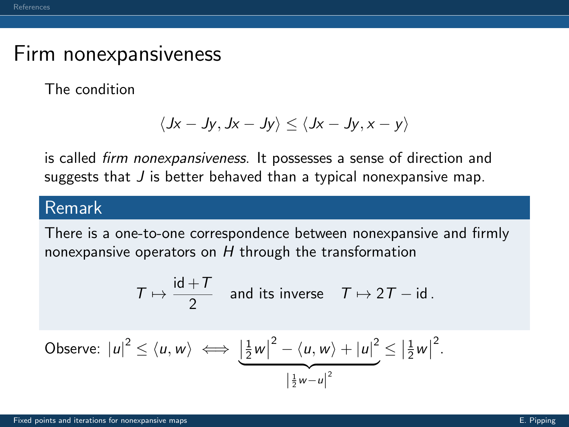### Firm nonexpansiveness

The condition

$$
\langle Jx-Jy, Jx-Jy \rangle \le \langle Jx-Jy, x-y \rangle
$$

is called firm nonexpansiveness. It possesses a sense of direction and suggests that  $J$  is better behaved than a typical nonexpansive map.

#### Remark

There is a one-to-one correspondence between nonexpansive and firmly nonexpansive operators on H through the transformation

$$
\mathcal{T}\mapsto \frac{\mathsf{id}+\mathcal{T}}{2}\quad\text{and its inverse}\quad\mathcal{T}\mapsto 2\mathcal{T}-\mathsf{id}\,.
$$

Observe: 
$$
|u|^2 \le \langle u, w \rangle \iff \underbrace{\left| \frac{1}{2} w \right|^2 - \langle u, w \rangle + |u|^2}_{\left| \frac{1}{2} w - u \right|^2} \le \left| \frac{1}{2} w \right|^2
$$
.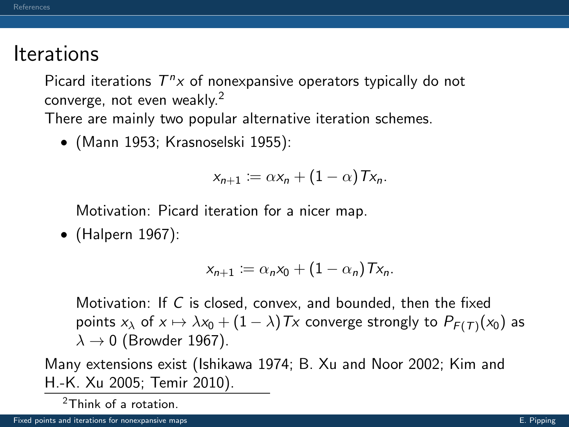### **Iterations**

Picard iterations  $T^{n}x$  of nonexpansive operators typically do not converge, not even weakly.<sup>2</sup>

There are mainly two popular alternative iteration schemes.

• (Mann [1953;](#page-15-1) Krasnoselski [1955\)](#page-15-2):

$$
x_{n+1} := \alpha x_n + (1-\alpha) \, Tx_n.
$$

Motivation: Picard iteration for a nicer map.

• (Halpern [1967\)](#page-14-0):

$$
x_{n+1} := \alpha_n x_0 + (1 - \alpha_n) \mathsf{T} x_n.
$$

Motivation: If C is closed, convex, and bounded, then the fixed points  $x_{\lambda}$  of  $x \mapsto \lambda x_0 + (1 - \lambda)Tx$  converge strongly to  $P_{F(T)}(x_0)$  as  $\lambda \rightarrow 0$  (Browder [1967\)](#page-12-2).

Many extensions exist (Ishikawa [1974;](#page-14-1) B. Xu and Noor [2002;](#page-17-1) Kim and H.-K. Xu [2005;](#page-15-3) Temir [2010\)](#page-16-1).

<sup>2</sup>Think of a rotation.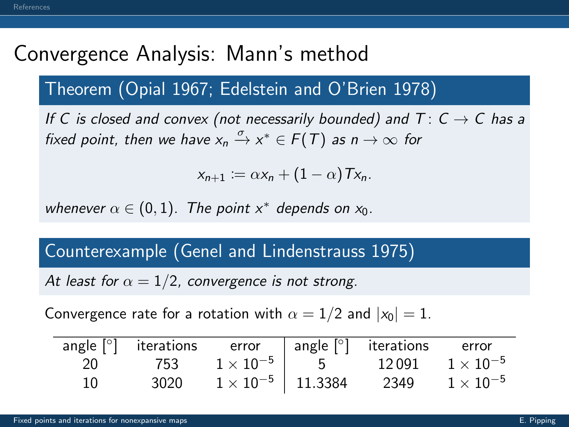# Convergence Analysis: Mann's method

### Theorem (Opial [1967;](#page-16-2) Edelstein and O'Brien [1978\)](#page-14-2)

If C is closed and convex (not necessarily bounded) and  $T: C \rightarrow C$  has a fixed point, then we have  $x_n \xrightarrow{\sigma} x^* \in F(T)$  as  $n \to \infty$  for

$$
x_{n+1} := \alpha x_n + (1-\alpha) Tx_n.
$$

whenever  $\alpha \in (0,1)$ . The point  $x^*$  depends on  $x_0$ .

#### Counterexample (Genel and Lindenstrauss [1975\)](#page-14-3)

At least for  $\alpha = 1/2$ , convergence is not strong.

Convergence rate for a rotation with  $\alpha = 1/2$  and  $|x_0| = 1$ .

|    |      |                            | angle $\lceil \circ \rceil$ iterations error angle $\lceil \circ \rceil$ iterations | error              |
|----|------|----------------------------|-------------------------------------------------------------------------------------|--------------------|
| 20 |      |                            | $753$ $1\times10^{-5}$ $ $ 5 $12\,091$ $1\times10^{-5}$                             |                    |
| 10 | 3020 | $1 \times 10^{-5}$ 11.3384 | 2349                                                                                | $1 \times 10^{-5}$ |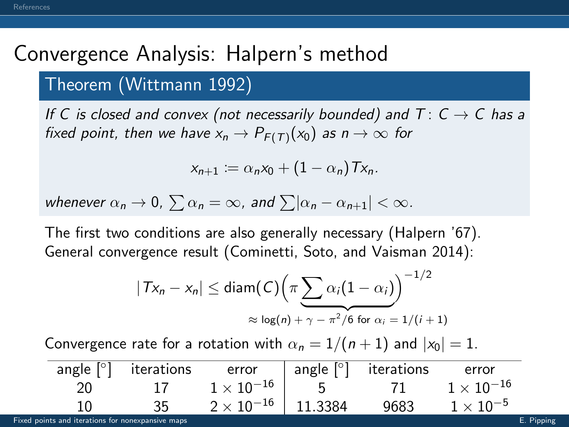# Convergence Analysis: Halpern's method

#### Theorem (Wittmann [1992\)](#page-17-2)

If C is closed and convex (not necessarily bounded) and  $T: C \rightarrow C$  has a fixed point, then we have  $x_n \to P_{F(T)}(x_0)$  as  $n \to \infty$  for

$$
x_{n+1} := \alpha_n x_0 + (1 - \alpha_n) \, Tx_n.
$$

whenever  $\alpha_n \to 0$ ,  $\sum \alpha_n = \infty$ , and  $\sum |\alpha_n - \alpha_{n+1}| < \infty$ .

The first two conditions are also generally necessary (Halpern '67). General convergence result (Cominetti, Soto, and Vaisman [2014\)](#page-13-1):

$$
|Tx_n - x_n| \leq \text{diam}(C) \Big( \pi \sum_{i=1}^n \alpha_i (1 - \alpha_i) \Big)^{-1/2}
$$
  
 
$$
\approx \log(n) + \gamma - \pi^2/6 \text{ for } \alpha_i = 1/(i+1)
$$

Convergence rate for a rotation with  $\alpha_n = 1/(n+1)$  and  $|x_0| = 1$ .

| angle $[°]$ | iterations | error               |             | $\vert$ angle $\vert$ <sup>o</sup> iterations | error               |
|-------------|------------|---------------------|-------------|-----------------------------------------------|---------------------|
|             |            | $1\times10^{-16}$   | $5^{\circ}$ |                                               | $1 \times 10^{-16}$ |
| 10          | 35.        | $2 \times 10^{-16}$ | 11.3384     | 9683                                          | $1 \times 10^{-5}$  |

[Fixed points and iterations for nonexpansive maps](#page-0-0) E. Pipping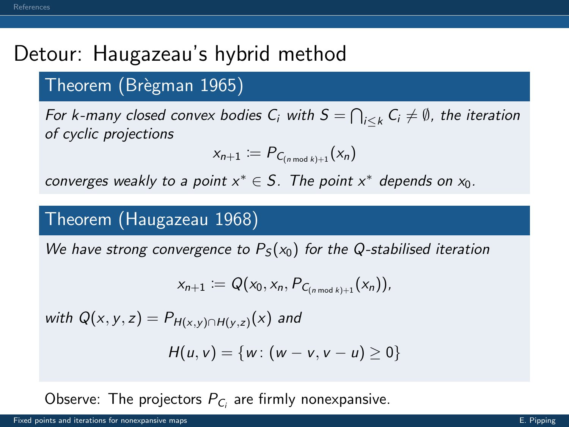# Detour: Haugazeau's hybrid method

#### Theorem (Brègman [1965\)](#page-12-3)

For k-many closed convex bodies  $C_i$  with  $S=\bigcap_{i\leq k}C_i\neq\emptyset$ , the iteration of cyclic projections

$$
x_{n+1} := P_{C_{(n \bmod k)+1}}(x_n)
$$

converges weakly to a point  $x^* \in S$ . The point  $x^*$  depends on  $x_0$ .

#### Theorem (Haugazeau [1968\)](#page-14-4)

We have strong convergence to  $P<sub>S</sub>(x<sub>0</sub>)$  for the Q-stabilised iteration

$$
x_{n+1} := Q(x_0, x_n, P_{C_{(n \bmod k)+1}}(x_n)),
$$

with  $Q(x, y, z) = P_{H(x,y) \cap H(y,z)}(x)$  and

$$
H(u, v) = \{w : (w - v, v - u) \geq 0\}
$$

Observe: The projectors  $P_{C_i}$  are firmly nonexpansive.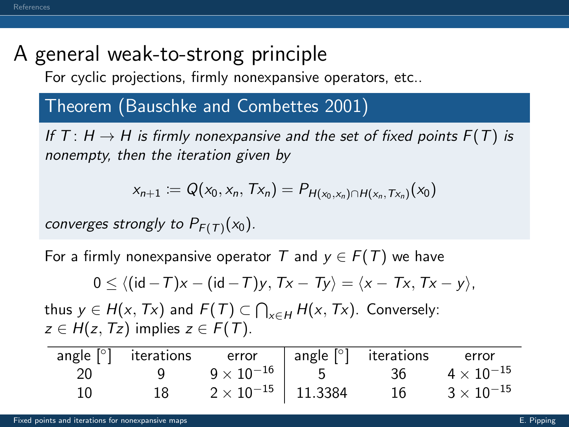## A general weak-to-strong principle

For cyclic projections, firmly nonexpansive operators, etc..

#### Theorem (Bauschke and Combettes [2001\)](#page-12-4)

If T:  $H \rightarrow H$  is firmly nonexpansive and the set of fixed points  $F(T)$  is nonempty, then the iteration given by

$$
x_{n+1} := Q(x_0, x_n, Tx_n) = P_{H(x_0, x_n) \cap H(x_n, Tx_n)}(x_0)
$$

converges strongly to  $P_{F(T)}(x_0)$ .

For a firmly nonexpansive operator T and  $y \in F(T)$  we have

$$
0\leq \langle (\mathsf{id}-T)x- (\mathsf{id}-T)y,\, Tx-Ty\rangle = \langle x-Tx,\, Tx-y\rangle,
$$

thus  $y \in H(x, Tx)$  and  $F(T) \subset \bigcap_{x \in H} H(x, Tx)$ . Conversely:  $z \in H(z, Tz)$  implies  $z \in F(T)$ .

|     |     | angle $\lceil \circ \rceil$ iterations error angle $\lceil \circ \rceil$ iterations error |    |                   |
|-----|-----|-------------------------------------------------------------------------------------------|----|-------------------|
| -20 | Q C | $9\times10^{-16}$ 5 36                                                                    |    | $4\times10^{-15}$ |
| 10  | 18  | $2 \times 10^{-15}$ 11.3384                                                               | 16 | $3\times10^{-15}$ |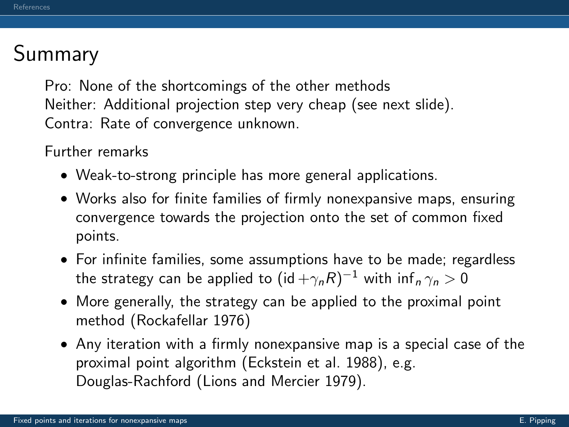## Summary

Pro: None of the shortcomings of the other methods Neither: Additional projection step very cheap (see next slide). Contra: Rate of convergence unknown.

Further remarks

- Weak-to-strong principle has more general applications.
- Works also for finite families of firmly nonexpansive maps, ensuring convergence towards the projection onto the set of common fixed points.
- For infinite families, some assumptions have to be made; regardless the strategy can be applied to  $(\mathsf{id} + \gamma_n R)^{-1}$  with  $\mathsf{inf}_n \gamma_n > 0$
- More generally, the strategy can be applied to the proximal point method (Rockafellar [1976\)](#page-16-3)
- Any iteration with a firmly nonexpansive map is a special case of the proximal point algorithm (Eckstein et al. [1988\)](#page-13-2), e.g. Douglas-Rachford (Lions and Mercier [1979\)](#page-15-4).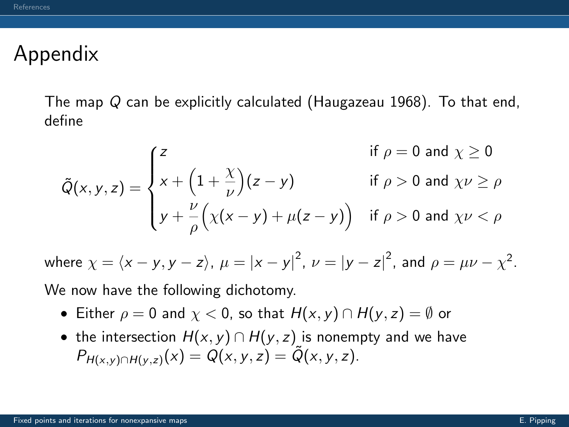### Appendix

The map Q can be explicitly calculated (Haugazeau [1968\)](#page-14-4). To that end, define

$$
\tilde{Q}(x, y, z) = \begin{cases} z & \text{if } \rho = 0 \text{ and } \chi \ge 0 \\ x + \left(1 + \frac{\chi}{\nu}\right)(z - y) & \text{if } \rho > 0 \text{ and } \chi \nu \ge \rho \\ y + \frac{\nu}{\rho}\left(\chi(x - y) + \mu(z - y)\right) & \text{if } \rho > 0 \text{ and } \chi \nu < \rho \end{cases}
$$

where  $\chi = \langle x - y, y - z \rangle$ ,  $\mu = |x - y|^2$ ,  $\nu = |y - z|^2$ , and  $\rho = \mu \nu - \chi^2$ .

We now have the following dichotomy.

- Either  $\rho = 0$  and  $\chi < 0$ , so that  $H(x, y) \cap H(y, z) = \emptyset$  or
- the intersection  $H(x, y) \cap H(y, z)$  is nonempty and we have  $P_{H(x,y)\cap H(y,z)}(x) = Q(x,y,z) = Q(x,y,z).$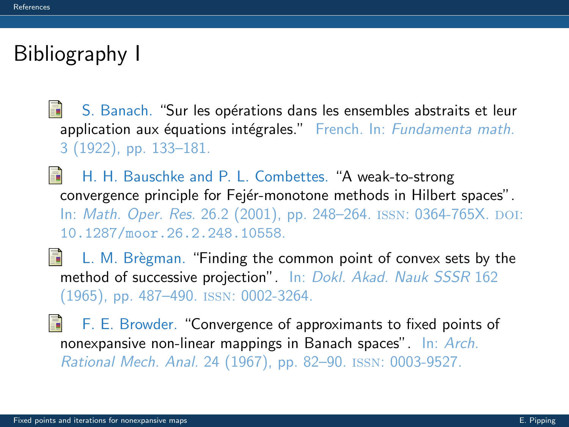## <span id="page-12-0"></span>Bibliography I

- <span id="page-12-1"></span>歸 S. Banach. "Sur les opérations dans les ensembles abstraits et leur application aux équations intégrales." French. In: Fundamenta math. 3 (1922), pp. 133–181.
- <span id="page-12-4"></span>H. H. Bauschke and P. L. Combettes. "A weak-to-strong convergence principle for Fejér-monotone methods in Hilbert spaces". In: *Math. Oper. Res.* 26.2 (2001), pp. 248–264. ISSN: 0364-765X. DOI: [10.1287/moor.26.2.248.10558](http://dx.doi.org/10.1287/moor.26.2.248.10558).
- <span id="page-12-3"></span>譶 L. M. Brègman. "Finding the common point of convex sets by the method of successive projection". In: Dokl. Akad. Nauk SSSR 162 (1965), pp. 487–490. issn: 0002-3264.
- <span id="page-12-2"></span>歸 F. E. Browder. "Convergence of approximants to fixed points of nonexpansive non-linear mappings in Banach spaces". In: Arch. Rational Mech. Anal. 24 (1967), pp. 82–90. issn: 0003-9527.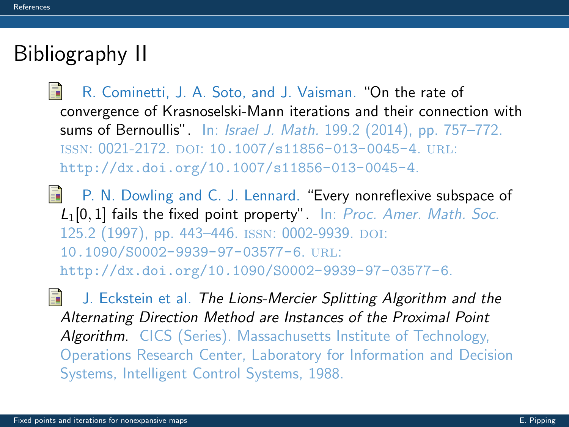# Bibliography II

- <span id="page-13-1"></span>R. Cominetti, J. A. Soto, and J. Vaisman. "On the rate of convergence of Krasnoselski-Mann iterations and their connection with sums of Bernoullis". In: Israel J. Math. 199.2 (2014), pp. 757–772. ISSN: 0021-2172. DOI: [10.1007/s11856-013-0045-4](http://dx.doi.org/10.1007/s11856-013-0045-4). URL: <http://dx.doi.org/10.1007/s11856-013-0045-4>.
- <span id="page-13-0"></span>**P. N. Dowling and C. J. Lennard. "Every nonreflexive subspace of** L1[0, 1] fails the fixed point property". In: Proc. Amer. Math. Soc. 125.2 (1997), pp. 443-446. ISSN: 0002-9939. DOI: [10.1090/S0002-9939-97-03577-6](http://dx.doi.org/10.1090/S0002-9939-97-03577-6). url: <http://dx.doi.org/10.1090/S0002-9939-97-03577-6>.
- <span id="page-13-2"></span>品 J. Eckstein et al. The Lions-Mercier Splitting Algorithm and the Alternating Direction Method are Instances of the Proximal Point Algorithm. CICS (Series). Massachusetts Institute of Technology, Operations Research Center, Laboratory for Information and Decision Systems, Intelligent Control Systems, 1988.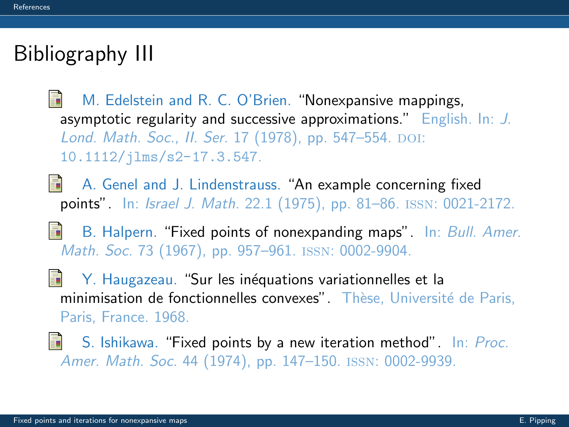# Bibliography III

<span id="page-14-2"></span>M. Edelstein and R. C. O'Brien. "Nonexpansive mappings, 螶 asymptotic regularity and successive approximations." English. In: J. Lond. Math. Soc., II. Ser. 17 (1978), pp. 547-554. DOI: [10.1112/jlms/s2-17.3.547](http://dx.doi.org/10.1112/jlms/s2-17.3.547).

<span id="page-14-3"></span>A. Genel and J. Lindenstrauss. "An example concerning fixed points". In: Israel J. Math. 22.1 (1975), pp. 81–86. issn: 0021-2172.

<span id="page-14-0"></span>B. Halpern. "Fixed points of nonexpanding maps". In: Bull. Amer. Math. Soc. 73 (1967), pp. 957–961. issn: 0002-9904.

<span id="page-14-4"></span>量 Y. Haugazeau. "Sur les inéquations variationnelles et la minimisation de fonctionnelles convexes". Thèse, Université de Paris, Paris, France. 1968.

<span id="page-14-1"></span>S. Ishikawa. "Fixed points by a new iteration method". In: Proc. Amer. Math. Soc. 44 (1974), pp. 147–150. issn: 0002-9939.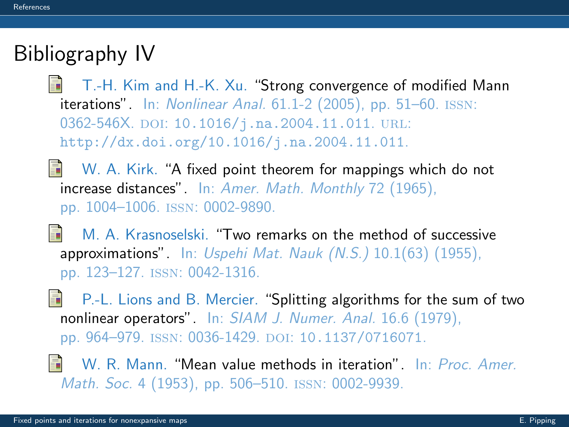# Bibliography IV

<span id="page-15-3"></span>T.-H. Kim and H.-K. Xu. "Strong convergence of modified Mann iterations". In: Nonlinear Anal. 61.1-2 (2005), pp. 51–60. issn: 0362-546X. DOI: [10.1016/j.na.2004.11.011](http://dx.doi.org/10.1016/j.na.2004.11.011). URL: <http://dx.doi.org/10.1016/j.na.2004.11.011>.

- <span id="page-15-0"></span> $\Box$  W. A. Kirk. "A fixed point theorem for mappings which do not increase distances". In: Amer. Math. Monthly 72 (1965). pp. 1004–1006. issn: 0002-9890.
- <span id="page-15-2"></span>E. M. A. Krasnoselski. "Two remarks on the method of successive approximations". In: Uspehi Mat. Nauk  $(N.S.)$  10.1(63) (1955), pp. 123–127. issn: 0042-1316.
- <span id="page-15-4"></span>S. P.-L. Lions and B. Mercier. "Splitting algorithms for the sum of two nonlinear operators". In: SIAM J. Numer. Anal. 16.6 (1979), pp. 964-979. ISSN: 0036-1429. DOI: [10.1137/0716071](http://dx.doi.org/10.1137/0716071).
- <span id="page-15-1"></span>W. R. Mann. "Mean value methods in iteration". In: Proc. Amer. Math. Soc. 4 (1953), pp. 506–510. issn: 0002-9939.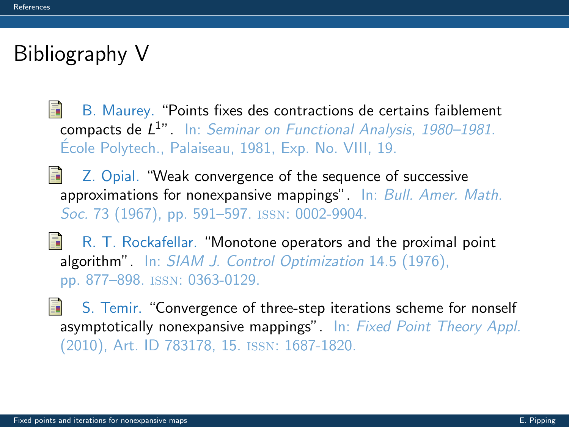## Bibliography V

- <span id="page-16-0"></span>暈 B. Maurey. "Points fixes des contractions de certains faiblement compacts de L<sup>1</sup>". In: Seminar on Functional Analysis, 1980–1981. Ecole Polytech., Palaiseau, 1981, Exp. No. VIII, 19.
- <span id="page-16-2"></span>Z. Opial. "Weak convergence of the sequence of successive approximations for nonexpansive mappings". In: Bull. Amer. Math. Soc. 73 (1967), pp. 591–597. ISSN: 0002-9904.
- <span id="page-16-3"></span>晶 R. T. Rockafellar. "Monotone operators and the proximal point algorithm". In: SIAM J. Control Optimization 14.5 (1976), pp. 877–898. issn: 0363-0129.
- <span id="page-16-1"></span>S. Temir. "Convergence of three-step iterations scheme for nonself asymptotically nonexpansive mappings". In: Fixed Point Theory Appl. (2010), Art. ID 783178, 15. issn: 1687-1820.